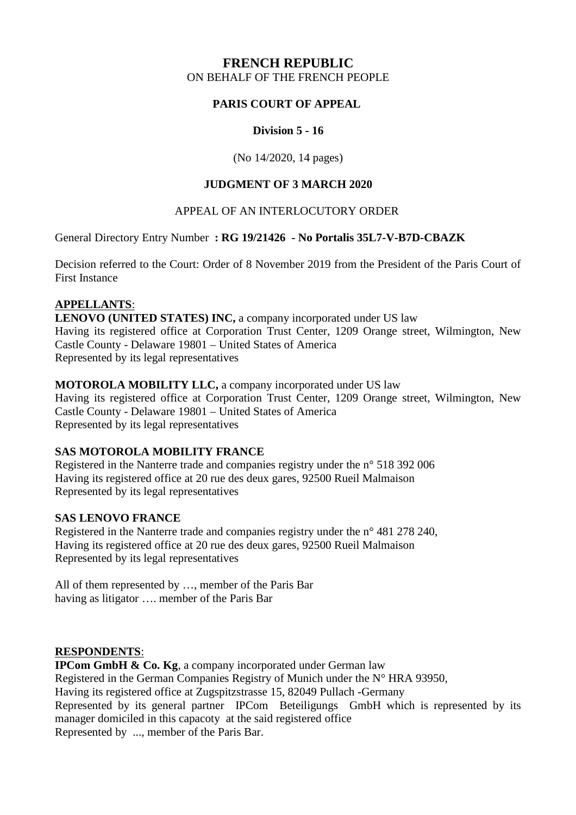# **FRENCH REPUBLIC** ON BEHALF OF THE FRENCH PEOPLE

## **PARIS COURT OF APPEAL**

### **Division 5 - 16**

(No 14/2020, 14 pages)

### **JUDGMENT OF 3 MARCH 2020**

### APPEAL OF AN INTERLOCUTORY ORDER

General Directory Entry Number **: RG 19/21426 - No Portalis 35L7-V-B7D-CBAZK** 

Decision referred to the Court: Order of 8 November 2019 from the President of the Paris Court of First Instance

### **APPELLANTS** :

**LENOVO (UNITED STATES) INC,** a company incorporated under US law Having its registered office at Corporation Trust Center, 1209 Orange street, Wilmington, New Castle County - Delaware 19801 – United States of America Represented by its legal representatives

### **MOTOROLA MOBILITY LLC,** a company incorporated under US law

Having its registered office at Corporation Trust Center, 1209 Orange street, Wilmington, New Castle County - Delaware 19801 – United States of America Represented by its legal representatives

## **SAS MOTOROLA MOBILITY FRANCE**

Registered in the Nanterre trade and companies registry under the n° 518 392 006 Having its registered office at 20 rue des deux gares, 92500 Rueil Malmaison Represented by its legal representatives

### **SAS LENOVO FRANCE**

Registered in the Nanterre trade and companies registry under the n° 481 278 240, Having its registered office at 20 rue des deux gares, 92500 Rueil Malmaison Represented by its legal representatives

All of them represented by …, member of the Paris Bar having as litigator …. member of the Paris Bar

### **RESPONDENTS** :

**IPCom GmbH & Co. Kg.** a company incorporated under German law Registered in the German Companies Registry of Munich under the N° HRA 93950, Having its registered office at Zugspitzstrasse 15, 82049 Pullach -Germany Represented by its general partner IPCom Beteiligungs GmbH which is represented by its manager domiciled in this capacoty at the said registered office Represented by ..., member of the Paris Bar.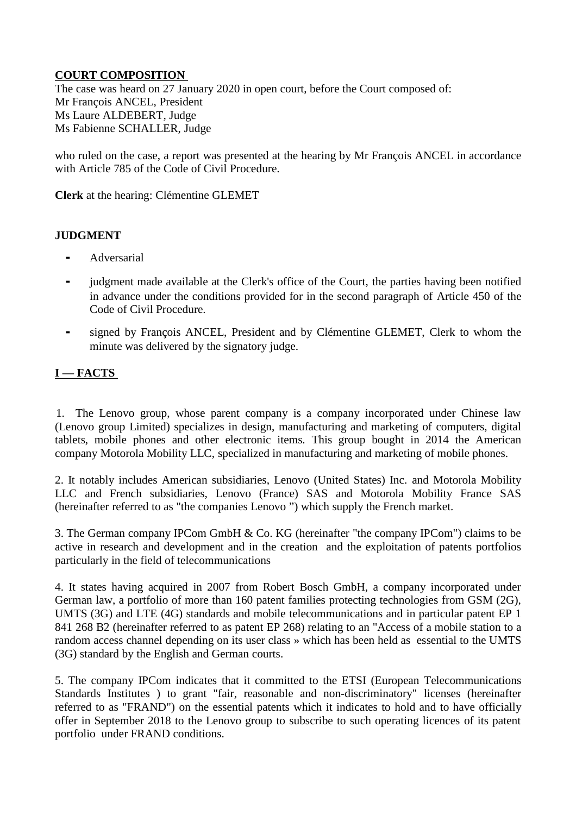## **COURT COMPOSITION**

The case was heard on 27 January 2020 in open court, before the Court composed of: Mr François ANCEL, President Ms Laure ALDEBERT, Judge Ms Fabienne SCHALLER, Judge

who ruled on the case, a report was presented at the hearing by Mr François ANCEL in accordance with Article 785 of the Code of Civil Procedure.

**Clerk** at the hearing: Clémentine GLEMET

## **JUDGMENT**

- **Adversarial**
- judgment made available at the Clerk's office of the Court, the parties having been notified in advance under the conditions provided for in the second paragraph of Article 450 of the Code of Civil Procedure.
- ⁃ signed by François ANCEL, President and by Clémentine GLEMET, Clerk to whom the minute was delivered by the signatory judge.

# **I — FACTS**

1. The Lenovo group, whose parent company is a company incorporated under Chinese law (Lenovo group Limited) specializes in design, manufacturing and marketing of computers, digital tablets, mobile phones and other electronic items. This group bought in 2014 the American company Motorola Mobility LLC, specialized in manufacturing and marketing of mobile phones.

2. It notably includes American subsidiaries, Lenovo (United States) Inc. and Motorola Mobility LLC and French subsidiaries, Lenovo (France) SAS and Motorola Mobility France SAS (hereinafter referred to as "the companies Lenovo ") which supply the French market.

3. The German company IPCom GmbH & Co. KG (hereinafter "the company IPCom") claims to be active in research and development and in the creation and the exploitation of patents portfolios particularly in the field of telecommunications

4. It states having acquired in 2007 from Robert Bosch GmbH, a company incorporated under German law, a portfolio of more than 160 patent families protecting technologies from GSM (2G), UMTS (3G) and LTE (4G) standards and mobile telecommunications and in particular patent EP 1 841 268 B2 (hereinafter referred to as patent EP 268) relating to an "Access of a mobile station to a random access channel depending on its user class » which has been held as essential to the UMTS (3G) standard by the English and German courts.

5. The company IPCom indicates that it committed to the ETSI (European Telecommunications Standards Institutes ) to grant "fair, reasonable and non-discriminatory" licenses (hereinafter referred to as "FRAND") on the essential patents which it indicates to hold and to have officially offer in September 2018 to the Lenovo group to subscribe to such operating licences of its patent portfolio under FRAND conditions.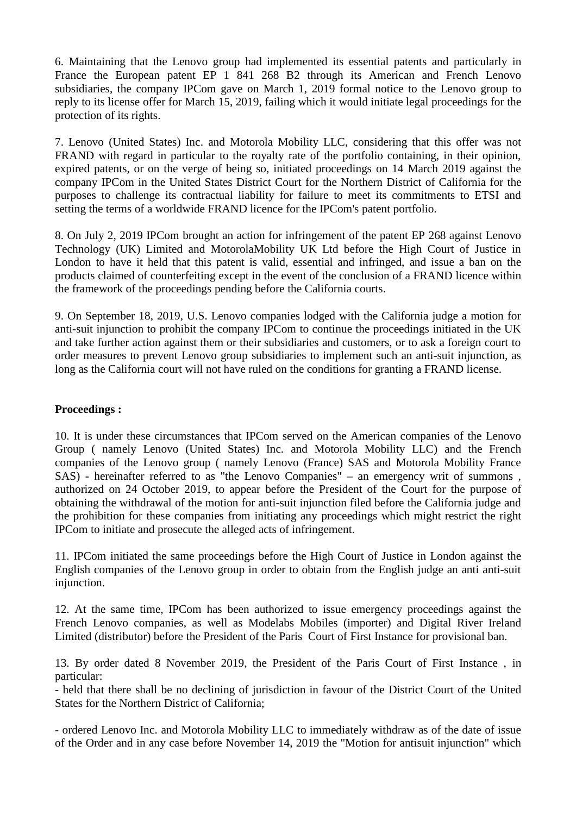6. Maintaining that the Lenovo group had implemented its essential patents and particularly in France the European patent EP 1 841 268 B2 through its American and French Lenovo subsidiaries, the company IPCom gave on March 1, 2019 formal notice to the Lenovo group to reply to its license offer for March 15, 2019, failing which it would initiate legal proceedings for the protection of its rights.

7. Lenovo (United States) Inc. and Motorola Mobility LLC, considering that this offer was not FRAND with regard in particular to the royalty rate of the portfolio containing, in their opinion, expired patents, or on the verge of being so, initiated proceedings on 14 March 2019 against the company IPCom in the United States District Court for the Northern District of California for the purposes to challenge its contractual liability for failure to meet its commitments to ETSI and setting the terms of a worldwide FRAND licence for the IPCom's patent portfolio.

8. On July 2, 2019 IPCom brought an action for infringement of the patent EP 268 against Lenovo Technology (UK) Limited and MotorolaMobility UK Ltd before the High Court of Justice in London to have it held that this patent is valid, essential and infringed, and issue a ban on the products claimed of counterfeiting except in the event of the conclusion of a FRAND licence within the framework of the proceedings pending before the California courts.

9. On September 18, 2019, U.S. Lenovo companies lodged with the California judge a motion for anti-suit injunction to prohibit the company IPCom to continue the proceedings initiated in the UK and take further action against them or their subsidiaries and customers, or to ask a foreign court to order measures to prevent Lenovo group subsidiaries to implement such an anti-suit injunction, as long as the California court will not have ruled on the conditions for granting a FRAND license.

### **Proceedings :**

10. It is under these circumstances that IPCom served on the American companies of the Lenovo Group ( namely Lenovo (United States) Inc. and Motorola Mobility LLC) and the French companies of the Lenovo group ( namely Lenovo (France) SAS and Motorola Mobility France SAS) - hereinafter referred to as "the Lenovo Companies" – an emergency writ of summons , authorized on 24 October 2019, to appear before the President of the Court for the purpose of obtaining the withdrawal of the motion for anti-suit injunction filed before the California judge and the prohibition for these companies from initiating any proceedings which might restrict the right IPCom to initiate and prosecute the alleged acts of infringement.

11. IPCom initiated the same proceedings before the High Court of Justice in London against the English companies of the Lenovo group in order to obtain from the English judge an anti anti-suit injunction.

12. At the same time, IPCom has been authorized to issue emergency proceedings against the French Lenovo companies, as well as Modelabs Mobiles (importer) and Digital River Ireland Limited (distributor) before the President of the Paris Court of First Instance for provisional ban.

13. By order dated 8 November 2019, the President of the Paris Court of First Instance , in particular:

- held that there shall be no declining of jurisdiction in favour of the District Court of the United States for the Northern District of California;

- ordered Lenovo Inc. and Motorola Mobility LLC to immediately withdraw as of the date of issue of the Order and in any case before November 14, 2019 the "Motion for antisuit injunction" which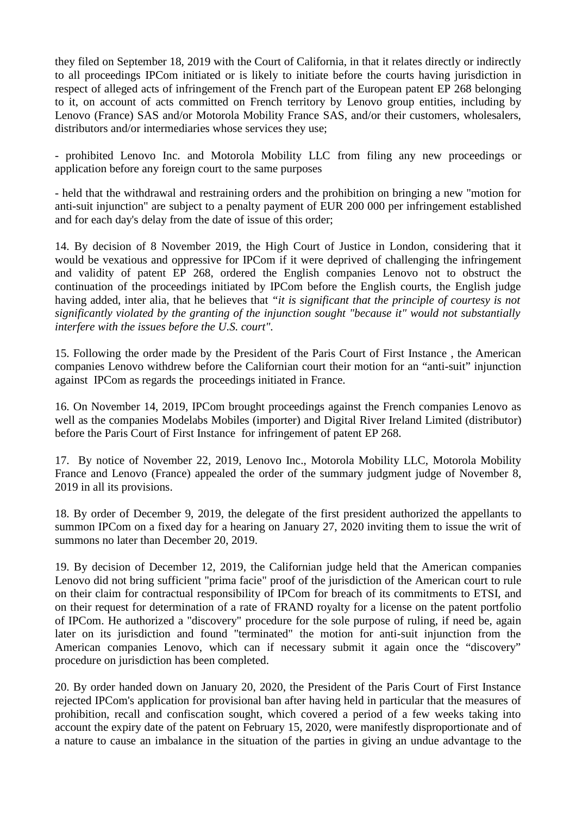they filed on September 18, 2019 with the Court of California, in that it relates directly or indirectly to all proceedings IPCom initiated or is likely to initiate before the courts having jurisdiction in respect of alleged acts of infringement of the French part of the European patent EP 268 belonging to it, on account of acts committed on French territory by Lenovo group entities, including by Lenovo (France) SAS and/or Motorola Mobility France SAS, and/or their customers, wholesalers, distributors and/or intermediaries whose services they use;

- prohibited Lenovo Inc. and Motorola Mobility LLC from filing any new proceedings or application before any foreign court to the same purposes

- held that the withdrawal and restraining orders and the prohibition on bringing a new "motion for anti-suit injunction" are subject to a penalty payment of EUR 200 000 per infringement established and for each day's delay from the date of issue of this order;

14. By decision of 8 November 2019, the High Court of Justice in London, considering that it would be vexatious and oppressive for IPCom if it were deprived of challenging the infringement and validity of patent EP 268, ordered the English companies Lenovo not to obstruct the continuation of the proceedings initiated by IPCom before the English courts, the English judge having added, inter alia, that he believes that *"it is significant that the principle of courtesy is not significantly violated by the granting of the injunction sought "because it" would not substantially interfere with the issues before the U.S. court".*

15. Following the order made by the President of the Paris Court of First Instance , the American companies Lenovo withdrew before the Californian court their motion for an "anti-suit" injunction against IPCom as regards the proceedings initiated in France.

16. On November 14, 2019, IPCom brought proceedings against the French companies Lenovo as well as the companies Modelabs Mobiles (importer) and Digital River Ireland Limited (distributor) before the Paris Court of First Instance for infringement of patent EP 268.

17. By notice of November 22, 2019, Lenovo Inc., Motorola Mobility LLC, Motorola Mobility France and Lenovo (France) appealed the order of the summary judgment judge of November 8, 2019 in all its provisions.

18. By order of December 9, 2019, the delegate of the first president authorized the appellants to summon IPCom on a fixed day for a hearing on January 27, 2020 inviting them to issue the writ of summons no later than December 20, 2019.

19. By decision of December 12, 2019, the Californian judge held that the American companies Lenovo did not bring sufficient "prima facie" proof of the jurisdiction of the American court to rule on their claim for contractual responsibility of IPCom for breach of its commitments to ETSI, and on their request for determination of a rate of FRAND royalty for a license on the patent portfolio of IPCom. He authorized a "discovery" procedure for the sole purpose of ruling, if need be, again later on its jurisdiction and found "terminated" the motion for anti-suit injunction from the American companies Lenovo, which can if necessary submit it again once the "discovery" procedure on jurisdiction has been completed.

20. By order handed down on January 20, 2020, the President of the Paris Court of First Instance rejected IPCom's application for provisional ban after having held in particular that the measures of prohibition, recall and confiscation sought, which covered a period of a few weeks taking into account the expiry date of the patent on February 15, 2020, were manifestly disproportionate and of a nature to cause an imbalance in the situation of the parties in giving an undue advantage to the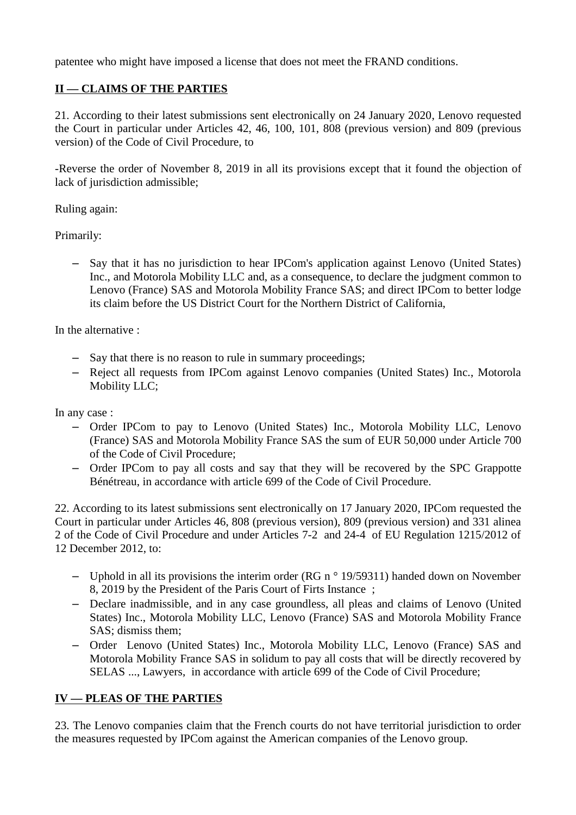patentee who might have imposed a license that does not meet the FRAND conditions.

# **II — CLAIMS OF THE PARTIES**

21. According to their latest submissions sent electronically on 24 January 2020, Lenovo requested the Court in particular under Articles 42, 46, 100, 101, 808 (previous version) and 809 (previous version) of the Code of Civil Procedure, to

-Reverse the order of November 8, 2019 in all its provisions except that it found the objection of lack of jurisdiction admissible;

Ruling again:

Primarily:

– Say that it has no jurisdiction to hear IPCom's application against Lenovo (United States) Inc., and Motorola Mobility LLC and, as a consequence, to declare the judgment common to Lenovo (France) SAS and Motorola Mobility France SAS; and direct IPCom to better lodge its claim before the US District Court for the Northern District of California,

In the alternative :

- Say that there is no reason to rule in summary proceedings;
- Reject all requests from IPCom against Lenovo companies (United States) Inc., Motorola Mobility LLC;

In any case :

- Order IPCom to pay to Lenovo (United States) Inc., Motorola Mobility LLC, Lenovo (France) SAS and Motorola Mobility France SAS the sum of EUR 50,000 under Article 700 of the Code of Civil Procedure;
- Order IPCom to pay all costs and say that they will be recovered by the SPC Grappotte Bénétreau, in accordance with article 699 of the Code of Civil Procedure.

22. According to its latest submissions sent electronically on 17 January 2020, IPCom requested the Court in particular under Articles 46, 808 (previous version), 809 (previous version) and 331 alinea 2 of the Code of Civil Procedure and under Articles 7-2 and 24-4 of EU Regulation 1215/2012 of 12 December 2012, to:

- Uphold in all its provisions the interim order (RG n $\degree$  19/59311) handed down on November 8, 2019 by the President of the Paris Court of Firts Instance ;
- Declare inadmissible, and in any case groundless, all pleas and claims of Lenovo (United States) Inc., Motorola Mobility LLC, Lenovo (France) SAS and Motorola Mobility France SAS; dismiss them;
- Order Lenovo (United States) Inc., Motorola Mobility LLC, Lenovo (France) SAS and Motorola Mobility France SAS in solidum to pay all costs that will be directly recovered by SELAS ..., Lawyers, in accordance with article 699 of the Code of Civil Procedure;

## **IV — PLEAS OF THE PARTIES**

23. The Lenovo companies claim that the French courts do not have territorial jurisdiction to order the measures requested by IPCom against the American companies of the Lenovo group.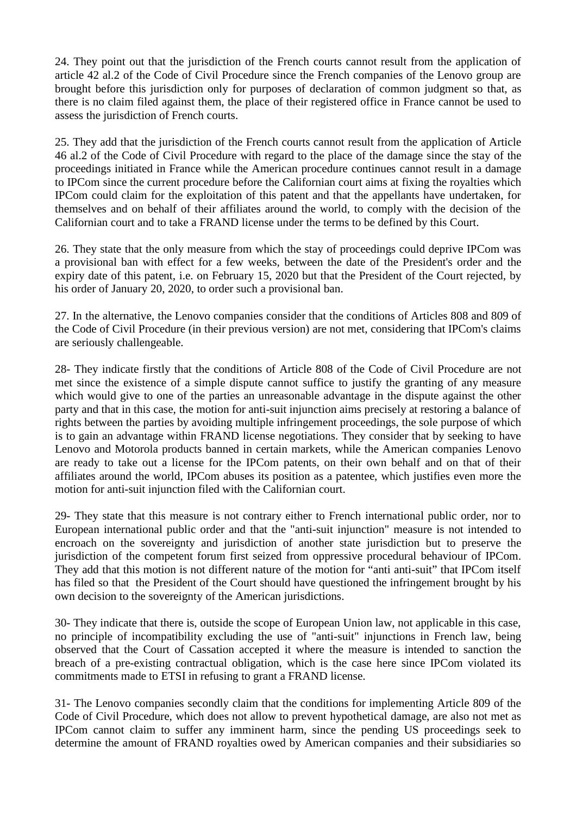24. They point out that the jurisdiction of the French courts cannot result from the application of article 42 al.2 of the Code of Civil Procedure since the French companies of the Lenovo group are brought before this jurisdiction only for purposes of declaration of common judgment so that, as there is no claim filed against them, the place of their registered office in France cannot be used to assess the jurisdiction of French courts.

25. They add that the jurisdiction of the French courts cannot result from the application of Article 46 al.2 of the Code of Civil Procedure with regard to the place of the damage since the stay of the proceedings initiated in France while the American procedure continues cannot result in a damage to IPCom since the current procedure before the Californian court aims at fixing the royalties which IPCom could claim for the exploitation of this patent and that the appellants have undertaken, for themselves and on behalf of their affiliates around the world, to comply with the decision of the Californian court and to take a FRAND license under the terms to be defined by this Court.

26. They state that the only measure from which the stay of proceedings could deprive IPCom was a provisional ban with effect for a few weeks, between the date of the President's order and the expiry date of this patent, i.e. on February 15, 2020 but that the President of the Court rejected, by his order of January 20, 2020, to order such a provisional ban.

27. In the alternative, the Lenovo companies consider that the conditions of Articles 808 and 809 of the Code of Civil Procedure (in their previous version) are not met, considering that IPCom's claims are seriously challengeable.

28- They indicate firstly that the conditions of Article 808 of the Code of Civil Procedure are not met since the existence of a simple dispute cannot suffice to justify the granting of any measure which would give to one of the parties an unreasonable advantage in the dispute against the other party and that in this case, the motion for anti-suit injunction aims precisely at restoring a balance of rights between the parties by avoiding multiple infringement proceedings, the sole purpose of which is to gain an advantage within FRAND license negotiations. They consider that by seeking to have Lenovo and Motorola products banned in certain markets, while the American companies Lenovo are ready to take out a license for the IPCom patents, on their own behalf and on that of their affiliates around the world, IPCom abuses its position as a patentee, which justifies even more the motion for anti-suit injunction filed with the Californian court.

29- They state that this measure is not contrary either to French international public order, nor to European international public order and that the "anti-suit injunction" measure is not intended to encroach on the sovereignty and jurisdiction of another state jurisdiction but to preserve the jurisdiction of the competent forum first seized from oppressive procedural behaviour of IPCom. They add that this motion is not different nature of the motion for "anti anti-suit" that IPCom itself has filed so that the President of the Court should have questioned the infringement brought by his own decision to the sovereignty of the American jurisdictions.

30- They indicate that there is, outside the scope of European Union law, not applicable in this case, no principle of incompatibility excluding the use of "anti-suit" injunctions in French law, being observed that the Court of Cassation accepted it where the measure is intended to sanction the breach of a pre-existing contractual obligation, which is the case here since IPCom violated its commitments made to ETSI in refusing to grant a FRAND license.

31- The Lenovo companies secondly claim that the conditions for implementing Article 809 of the Code of Civil Procedure, which does not allow to prevent hypothetical damage, are also not met as IPCom cannot claim to suffer any imminent harm, since the pending US proceedings seek to determine the amount of FRAND royalties owed by American companies and their subsidiaries so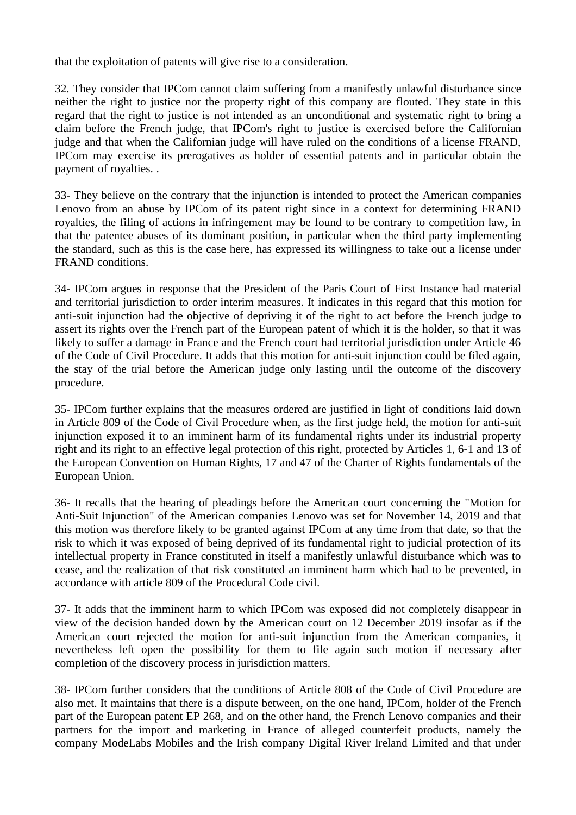that the exploitation of patents will give rise to a consideration.

32. They consider that IPCom cannot claim suffering from a manifestly unlawful disturbance since neither the right to justice nor the property right of this company are flouted. They state in this regard that the right to justice is not intended as an unconditional and systematic right to bring a claim before the French judge, that IPCom's right to justice is exercised before the Californian judge and that when the Californian judge will have ruled on the conditions of a license FRAND, IPCom may exercise its prerogatives as holder of essential patents and in particular obtain the payment of royalties. .

33- They believe on the contrary that the injunction is intended to protect the American companies Lenovo from an abuse by IPCom of its patent right since in a context for determining FRAND royalties, the filing of actions in infringement may be found to be contrary to competition law, in that the patentee abuses of its dominant position, in particular when the third party implementing the standard, such as this is the case here, has expressed its willingness to take out a license under FRAND conditions.

34- IPCom argues in response that the President of the Paris Court of First Instance had material and territorial jurisdiction to order interim measures. It indicates in this regard that this motion for anti-suit injunction had the objective of depriving it of the right to act before the French judge to assert its rights over the French part of the European patent of which it is the holder, so that it was likely to suffer a damage in France and the French court had territorial jurisdiction under Article 46 of the Code of Civil Procedure. It adds that this motion for anti-suit injunction could be filed again, the stay of the trial before the American judge only lasting until the outcome of the discovery procedure.

35- IPCom further explains that the measures ordered are justified in light of conditions laid down in Article 809 of the Code of Civil Procedure when, as the first judge held, the motion for anti-suit injunction exposed it to an imminent harm of its fundamental rights under its industrial property right and its right to an effective legal protection of this right, protected by Articles 1, 6-1 and 13 of the European Convention on Human Rights, 17 and 47 of the Charter of Rights fundamentals of the European Union.

36- It recalls that the hearing of pleadings before the American court concerning the "Motion for Anti-Suit Injunction" of the American companies Lenovo was set for November 14, 2019 and that this motion was therefore likely to be granted against IPCom at any time from that date, so that the risk to which it was exposed of being deprived of its fundamental right to judicial protection of its intellectual property in France constituted in itself a manifestly unlawful disturbance which was to cease, and the realization of that risk constituted an imminent harm which had to be prevented, in accordance with article 809 of the Procedural Code civil.

37- It adds that the imminent harm to which IPCom was exposed did not completely disappear in view of the decision handed down by the American court on 12 December 2019 insofar as if the American court rejected the motion for anti-suit injunction from the American companies, it nevertheless left open the possibility for them to file again such motion if necessary after completion of the discovery process in jurisdiction matters.

38- IPCom further considers that the conditions of Article 808 of the Code of Civil Procedure are also met. It maintains that there is a dispute between, on the one hand, IPCom, holder of the French part of the European patent EP 268, and on the other hand, the French Lenovo companies and their partners for the import and marketing in France of alleged counterfeit products, namely the company ModeLabs Mobiles and the Irish company Digital River Ireland Limited and that under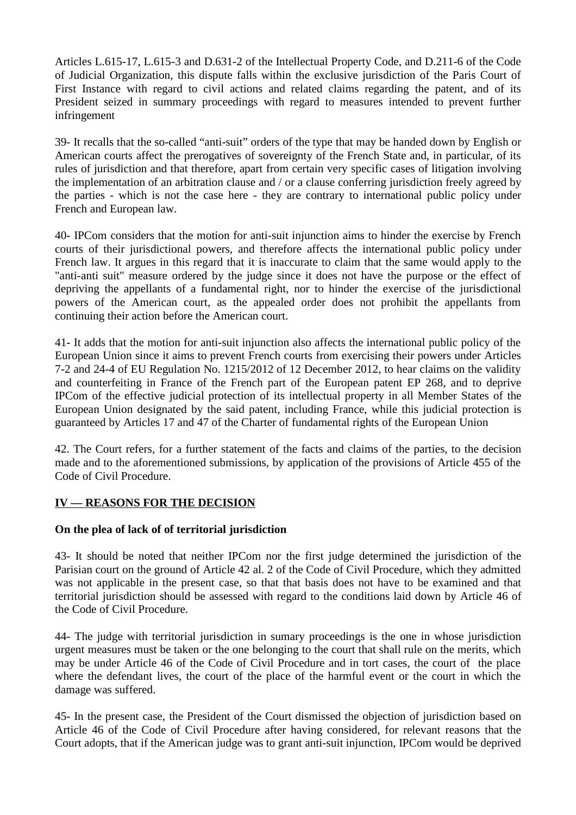Articles L.615-17, L.615-3 and D.631-2 of the Intellectual Property Code, and D.211-6 of the Code of Judicial Organization, this dispute falls within the exclusive jurisdiction of the Paris Court of First Instance with regard to civil actions and related claims regarding the patent, and of its President seized in summary proceedings with regard to measures intended to prevent further infringement

39- It recalls that the so-called "anti-suit" orders of the type that may be handed down by English or American courts affect the prerogatives of sovereignty of the French State and, in particular, of its rules of jurisdiction and that therefore, apart from certain very specific cases of litigation involving the implementation of an arbitration clause and / or a clause conferring jurisdiction freely agreed by the parties - which is not the case here - they are contrary to international public policy under French and European law.

40- IPCom considers that the motion for anti-suit injunction aims to hinder the exercise by French courts of their jurisdictional powers, and therefore affects the international public policy under French law. It argues in this regard that it is inaccurate to claim that the same would apply to the "anti-anti suit" measure ordered by the judge since it does not have the purpose or the effect of depriving the appellants of a fundamental right, nor to hinder the exercise of the jurisdictional powers of the American court, as the appealed order does not prohibit the appellants from continuing their action before the American court.

41- It adds that the motion for anti-suit injunction also affects the international public policy of the European Union since it aims to prevent French courts from exercising their powers under Articles 7-2 and 24-4 of EU Regulation No. 1215/2012 of 12 December 2012, to hear claims on the validity and counterfeiting in France of the French part of the European patent EP 268, and to deprive IPCom of the effective judicial protection of its intellectual property in all Member States of the European Union designated by the said patent, including France, while this judicial protection is guaranteed by Articles 17 and 47 of the Charter of fundamental rights of the European Union

42. The Court refers, for a further statement of the facts and claims of the parties, to the decision made and to the aforementioned submissions, by application of the provisions of Article 455 of the Code of Civil Procedure.

## **IV — REASONS FOR THE DECISION**

## **On the plea of lack of of territorial jurisdiction**

43- It should be noted that neither IPCom nor the first judge determined the jurisdiction of the Parisian court on the ground of Article 42 al. 2 of the Code of Civil Procedure, which they admitted was not applicable in the present case, so that that basis does not have to be examined and that territorial jurisdiction should be assessed with regard to the conditions laid down by Article 46 of the Code of Civil Procedure.

44- The judge with territorial jurisdiction in sumary proceedings is the one in whose jurisdiction urgent measures must be taken or the one belonging to the court that shall rule on the merits, which may be under Article 46 of the Code of Civil Procedure and in tort cases, the court of the place where the defendant lives, the court of the place of the harmful event or the court in which the damage was suffered.

45- In the present case, the President of the Court dismissed the objection of jurisdiction based on Article 46 of the Code of Civil Procedure after having considered, for relevant reasons that the Court adopts, that if the American judge was to grant anti-suit injunction, IPCom would be deprived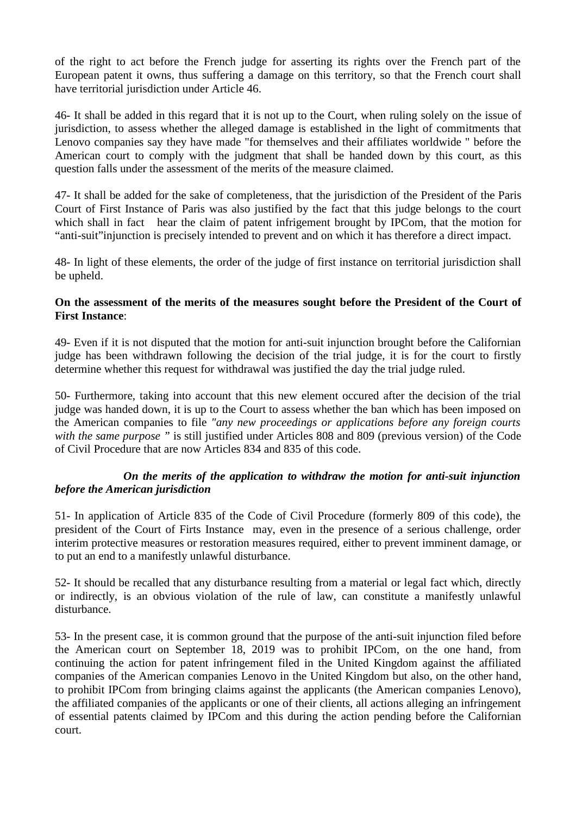of the right to act before the French judge for asserting its rights over the French part of the European patent it owns, thus suffering a damage on this territory, so that the French court shall have territorial jurisdiction under Article 46.

46- It shall be added in this regard that it is not up to the Court, when ruling solely on the issue of jurisdiction, to assess whether the alleged damage is established in the light of commitments that Lenovo companies say they have made "for themselves and their affiliates worldwide " before the American court to comply with the judgment that shall be handed down by this court, as this question falls under the assessment of the merits of the measure claimed.

47- It shall be added for the sake of completeness, that the jurisdiction of the President of the Paris Court of First Instance of Paris was also justified by the fact that this judge belongs to the court which shall in fact hear the claim of patent infrigement brought by IPCom, that the motion for "anti-suit"injunction is precisely intended to prevent and on which it has therefore a direct impact.

48- In light of these elements, the order of the judge of first instance on territorial jurisdiction shall be upheld.

### **On the assessment of the merits of the measures sought before the President of the Court of First Instance**:

49- Even if it is not disputed that the motion for anti-suit injunction brought before the Californian judge has been withdrawn following the decision of the trial judge, it is for the court to firstly determine whether this request for withdrawal was justified the day the trial judge ruled.

50- Furthermore, taking into account that this new element occured after the decision of the trial judge was handed down, it is up to the Court to assess whether the ban which has been imposed on the American companies to file *"any new proceedings or applications before any foreign courts with the same purpose "* is still justified under Articles 808 and 809 (previous version) of the Code of Civil Procedure that are now Articles 834 and 835 of this code.

## *On the merits of the application to withdraw the motion for anti-suit injunction before the American jurisdiction*

51- In application of Article 835 of the Code of Civil Procedure (formerly 809 of this code), the president of the Court of Firts Instance may, even in the presence of a serious challenge, order interim protective measures or restoration measures required, either to prevent imminent damage, or to put an end to a manifestly unlawful disturbance.

52- It should be recalled that any disturbance resulting from a material or legal fact which, directly or indirectly, is an obvious violation of the rule of law, can constitute a manifestly unlawful disturbance.

53- In the present case, it is common ground that the purpose of the anti-suit injunction filed before the American court on September 18, 2019 was to prohibit IPCom, on the one hand, from continuing the action for patent infringement filed in the United Kingdom against the affiliated companies of the American companies Lenovo in the United Kingdom but also, on the other hand, to prohibit IPCom from bringing claims against the applicants (the American companies Lenovo), the affiliated companies of the applicants or one of their clients, all actions alleging an infringement of essential patents claimed by IPCom and this during the action pending before the Californian court.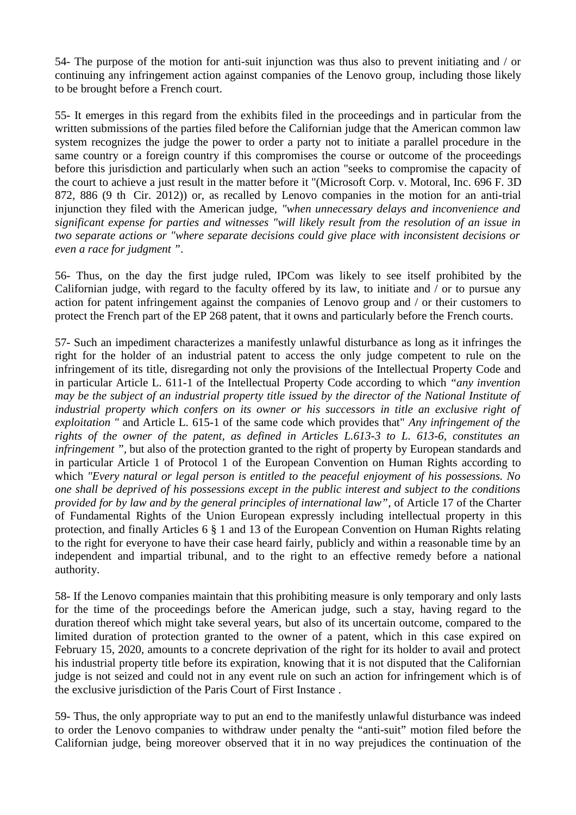54- The purpose of the motion for anti-suit injunction was thus also to prevent initiating and / or continuing any infringement action against companies of the Lenovo group, including those likely to be brought before a French court.

55- It emerges in this regard from the exhibits filed in the proceedings and in particular from the written submissions of the parties filed before the Californian judge that the American common law system recognizes the judge the power to order a party not to initiate a parallel procedure in the same country or a foreign country if this compromises the course or outcome of the proceedings before this jurisdiction and particularly when such an action "seeks to compromise the capacity of the court to achieve a just result in the matter before it "(Microsoft Corp. v. Motoral, Inc. 696 F. 3D 872, 886 (9 th Cir. 2012)) or, as recalled by Lenovo companies in the motion for an anti-trial injunction they filed with the American judge, *"when unnecessary delays and inconvenience and significant expense for parties and witnesses "will likely result from the resolution of an issue in two separate actions or "where separate decisions could give place with inconsistent decisions or even a race for judgment "*.

56- Thus, on the day the first judge ruled, IPCom was likely to see itself prohibited by the Californian judge, with regard to the faculty offered by its law, to initiate and / or to pursue any action for patent infringement against the companies of Lenovo group and / or their customers to protect the French part of the EP 268 patent, that it owns and particularly before the French courts.

57- Such an impediment characterizes a manifestly unlawful disturbance as long as it infringes the right for the holder of an industrial patent to access the only judge competent to rule on the infringement of its title, disregarding not only the provisions of the Intellectual Property Code and in particular Article L. 611-1 of the Intellectual Property Code according to which *"any invention may be the subject of an industrial property title issued by the director of the National Institute of industrial property which confers on its owner or his successors in title an exclusive right of exploitation "* and Article L. 615-1 of the same code which provides that" *Any infringement of the rights of the owner of the patent, as defined in Articles L.613-3 to L. 613-6, constitutes an infringement ",* but also of the protection granted to the right of property by European standards and in particular Article 1 of Protocol 1 of the European Convention on Human Rights according to which *"Every natural or legal person is entitled to the peaceful enjoyment of his possessions. No one shall be deprived of his possessions except in the public interest and subject to the conditions provided for by law and by the general principles of international law"*, of Article 17 of the Charter of Fundamental Rights of the Union European expressly including intellectual property in this protection, and finally Articles 6 § 1 and 13 of the European Convention on Human Rights relating to the right for everyone to have their case heard fairly, publicly and within a reasonable time by an independent and impartial tribunal, and to the right to an effective remedy before a national authority.

58- If the Lenovo companies maintain that this prohibiting measure is only temporary and only lasts for the time of the proceedings before the American judge, such a stay, having regard to the duration thereof which might take several years, but also of its uncertain outcome, compared to the limited duration of protection granted to the owner of a patent, which in this case expired on February 15, 2020, amounts to a concrete deprivation of the right for its holder to avail and protect his industrial property title before its expiration, knowing that it is not disputed that the Californian judge is not seized and could not in any event rule on such an action for infringement which is of the exclusive jurisdiction of the Paris Court of First Instance .

59- Thus, the only appropriate way to put an end to the manifestly unlawful disturbance was indeed to order the Lenovo companies to withdraw under penalty the "anti-suit" motion filed before the Californian judge, being moreover observed that it in no way prejudices the continuation of the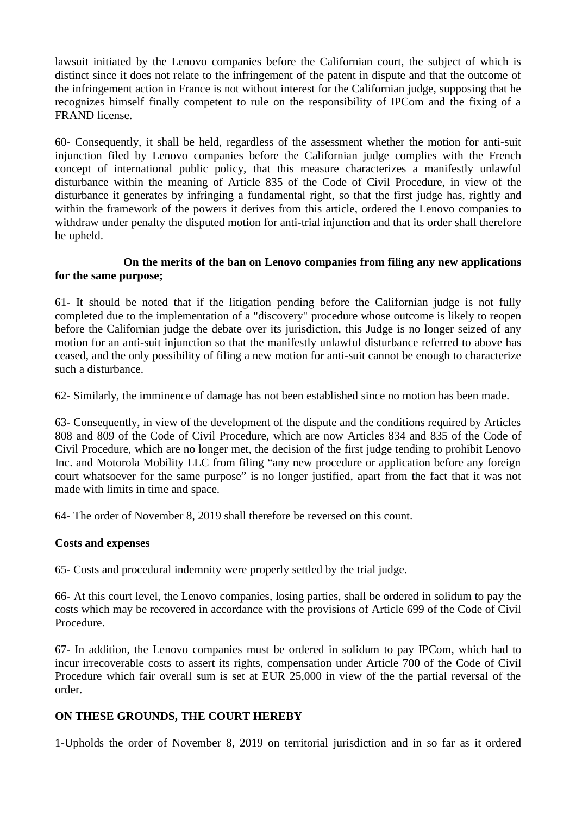lawsuit initiated by the Lenovo companies before the Californian court, the subject of which is distinct since it does not relate to the infringement of the patent in dispute and that the outcome of the infringement action in France is not without interest for the Californian judge, supposing that he recognizes himself finally competent to rule on the responsibility of IPCom and the fixing of a FRAND license.

60- Consequently, it shall be held, regardless of the assessment whether the motion for anti-suit injunction filed by Lenovo companies before the Californian judge complies with the French concept of international public policy, that this measure characterizes a manifestly unlawful disturbance within the meaning of Article 835 of the Code of Civil Procedure, in view of the disturbance it generates by infringing a fundamental right, so that the first judge has, rightly and within the framework of the powers it derives from this article, ordered the Lenovo companies to withdraw under penalty the disputed motion for anti-trial injunction and that its order shall therefore be upheld.

## **On the merits of the ban on Lenovo companies from filing any new applications for the same purpose;**

61- It should be noted that if the litigation pending before the Californian judge is not fully completed due to the implementation of a "discovery" procedure whose outcome is likely to reopen before the Californian judge the debate over its jurisdiction, this Judge is no longer seized of any motion for an anti-suit injunction so that the manifestly unlawful disturbance referred to above has ceased, and the only possibility of filing a new motion for anti-suit cannot be enough to characterize such a disturbance.

62- Similarly, the imminence of damage has not been established since no motion has been made.

63- Consequently, in view of the development of the dispute and the conditions required by Articles 808 and 809 of the Code of Civil Procedure, which are now Articles 834 and 835 of the Code of Civil Procedure, which are no longer met, the decision of the first judge tending to prohibit Lenovo Inc. and Motorola Mobility LLC from filing "any new procedure or application before any foreign court whatsoever for the same purpose" is no longer justified, apart from the fact that it was not made with limits in time and space.

64- The order of November 8, 2019 shall therefore be reversed on this count.

### **Costs and expenses**

65- Costs and procedural indemnity were properly settled by the trial judge.

66- At this court level, the Lenovo companies, losing parties, shall be ordered in solidum to pay the costs which may be recovered in accordance with the provisions of Article 699 of the Code of Civil Procedure.

67- In addition, the Lenovo companies must be ordered in solidum to pay IPCom, which had to incur irrecoverable costs to assert its rights, compensation under Article 700 of the Code of Civil Procedure which fair overall sum is set at EUR 25,000 in view of the the partial reversal of the order.

## **ON THESE GROUNDS, THE COURT HEREBY**

1-Upholds the order of November 8, 2019 on territorial jurisdiction and in so far as it ordered